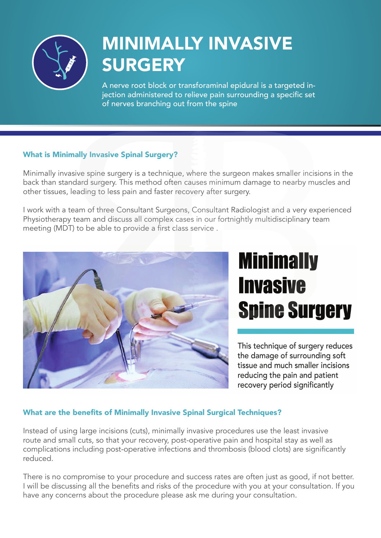

## MINIMALLY INVASIVE **SURGERY**

A nerve root block or transforaminal epidural is a targeted injection administered to relieve pain surrounding a specific set of nerves branching out from the spine

### What is Minimally Invasive Spinal Surgery?

Minimally invasive spine surgery is a technique, where the surgeon makes smaller incisions in the back than standard surgery. This method often causes minimum damage to nearby muscles and other tissues, leading to less pain and faster recovery after surgery.

I work with a team of three Consultant Surgeons, Consultant Radiologist and a very experienced Physiotherapy team and discuss all complex cases in our fortnightly multidisciplinary team meeting (MDT) to be able to provide a first class service .



# **Minimally Invasive Spine Surgery**

This technique of surgery reduces the damage of surrounding soft tissue and much smaller incisions reducing the pain and patient recovery period significantly

### What are the benefits of Minimally Invasive Spinal Surgical Techniques?

Instead of using large incisions (cuts), minimally invasive procedures use the least invasive route and small cuts, so that your recovery, post-operative pain and hospital stay as well as complications including post-operative infections and thrombosis (blood clots) are significantly reduced.

There is no compromise to your procedure and success rates are often just as good, if not better. I will be discussing all the benefits and risks of the procedure with you at your consultation. If you have any concerns about the procedure please ask me during your consultation.